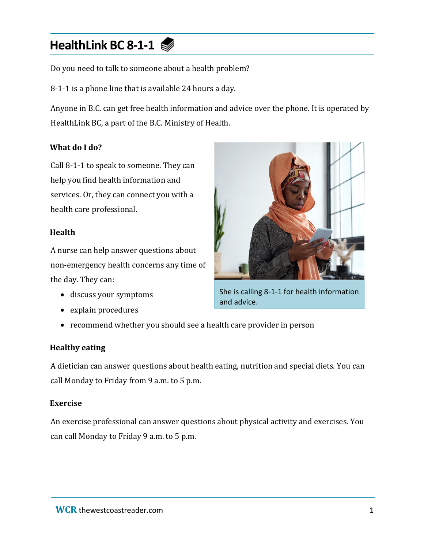# **HealthLink BC 8-1-1**

Do you need to talk to someone about a health problem?

8-1-1 is a phone line that is available 24 hours a day.

Anyone in B.C. can get free health information and advice over the phone. It is operated by HealthLink BC, a part of the B.C. Ministry of Health.

#### **What do I do?**

Call 8-1-1 to speak to someone. They can help you find health information and services. Or, they can connect you with a health care professional.

#### **Health**

A nurse can help answer questions about non-emergency health concerns any time of the day. They can:

- discuss your symptoms
- explain procedures



She is calling 8-1-1 for health information and advice.

• recommend whether you should see a health care provider in person

## **Healthy eating**

A dietician can answer questions about health eating, nutrition and special diets. You can call Monday to Friday from 9 a.m. to 5 p.m.

#### **Exercise**

An exercise professional can answer questions about physical activity and exercises. You can call Monday to Friday 9 a.m. to 5 p.m.